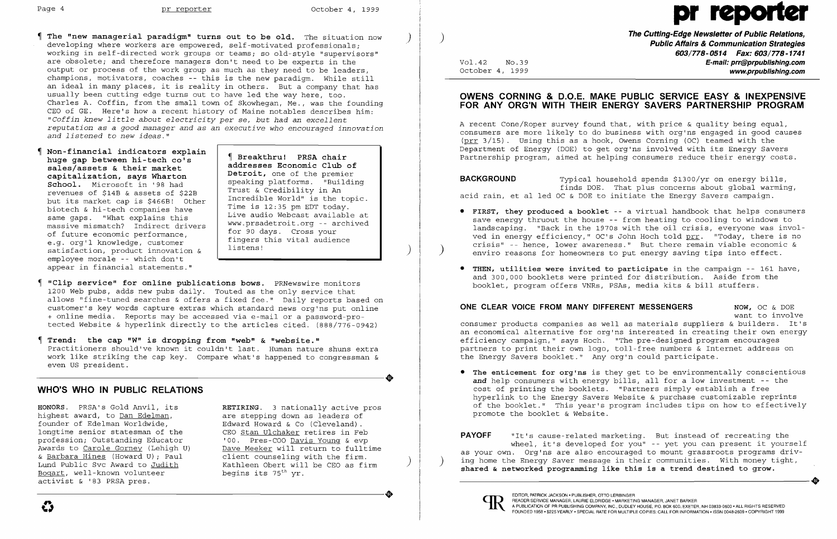# Page 4 pr reporter October 4, 1999 pr

- The "new managerial paradigm" turns out to be old. The situation now developing where workers are empowered, self-motivated professionals; working in self-directed work groups or teams; so old-style "supervisors" are obsolete; and therefore managers don't need to be experts in the output or process of the work group as much as they need to be leaders, champions, motivators, coaches -- this is the new paradigm. While still an ideal in many places, it is reality in others. But a company that has usually been cutting edge turns out to have led the way here, too. Charles A. Coffin, from the small town of Skowhegan, Me., was the founding CEO of GE. Here's how a recent history of Maine notables describes him: *"Coffin knew little about electricity per se, but had an excellent reputation* as a *good manager and* as *an executive who encouraged innovation and listened* to *new ideas. "*
- Non-financial indicators explain Breakthru! PRSA chair huge gap between hi-tech co's sales/assets & their market addresses Economic Club of<br>
petroit, one of the premier capitalization, says Wharton and Detroit, one of the premier<br>School Microsoft in 198 had a speaking platforms. "Building" School. Microsoft in '98 had speaking platforms. "Building revenues of \$14B & assets of \$22B Trust of An Revenues of \$148  $\mu$  Incredible World" is the topic.<br>but its market cap is  $\mu$  is the seminary of the Time is 12:35 pm EDT today. biotech & hi-tech companies have<br>same gaps. "What explains this massive mismatch? Indirect drivers | WWW.prsadetroit.org -- areas of future economic performance, massive mismatch? Indiffect drivers<br>of future economic performance, for 90 days. Cross your<br>e.g. org'l knowledge, customer listens!<br>satisfaction, product innovation & ) satisfaction, product innovation &<br>employee morale -- which don't appear in financial statements."

Live audio Webcast available at<br>www.prsadetroit.org -- archived

- "Clip service" for online publications bows. PRNewswire monitors 1200 Web pubs, adds new pubs daily. Touted as the only service that Ī allows "fine-tuned searches & offers a fixed fee." Daily reports based on customer's key words capture extras which standard news org'ns put online + online media. Reports may be accessed via e-mail or a password-pro tected Website & hyperlink directly to the articles cited. (888/776-0942)
- Trend: the cap **"w"** is dropping from "web" & "website." Practitioners should've known it couldn't last. Human nature shuns extra work like striking the cap key. Compare what's happened to congressman & even US president. work like striking the cap key. Compare what's happened to congressman &<br>even US president.

**The Cutting-Edge Newsletter of Public Relations,** ) **Public Affairs & Communication Strategies 603/778-0514 Fax: 603/778-1741**  Vol.42 No.39 **E-mail: prr@prpublishing.com**  October 4, 1999  $\blacksquare$ 

A recent Cone/Roper survey found that, with price  $\&$  quality being equal, consumers are more likely to do business with org'ns engaged in good causes (prr 3/15). Using this as a hook, Owens Corning (OC) teamed with the Department of Energy (DOE) to get org'ns involved with its Energy Savers Partnership program, aimed at helping consumers reduce their energy costs.

• FIRST, they produced a booklet -- a virtual handbook that helps consumers save energy thruout the house -- from heating to cooling to windows to landscaping. "Back in the 1970s with the oil crisis, everyone was involved in energy efficiency," OC's John Hoch told prr. "Today, there is no crisis" -- hence, lower awareness." But there remain viable economic & enviro reasons for homeowners to put energy saving tips into effect.

#### **WHO'S WHO IN PUBLIC RELATIONS**

highest award, to <u>Dan Edelman</u>, are stepping down as leaders of founder of Edelman Worldwide, and Edward Howard & Co (Cleveland). founder of Edelman Worldwide, Edward Howard & Co (Cleveland).<br>longtime senior statesman of the CEO Stan Ulchaker retires in Fel profession; Outstanding Educator<br>Awards to Carole Gorney (Lehigh U) & <u>Barbara Hines</u> (Howard U); Paul client counseling with the firm.<br>Lund Public Svc Award to Judith Kathleen Obert will be CEO as fi Bogart, well-known volunteer activist & '83 PRSA pres. Boqart, well-known volunteer begins its 75<sup>th</sup> yr.<br>activist & '83 PRSA pres.

HONORS. PRSA's Gold Anvil, its RETIRING. 3 nationally active pros<br>highest award, to Dan Edelman, are stepping down as leaders of CEO Stan Ulchaker retires in Feb<br>'00. Pres-COO Davis Young & evp Awards to Carole Gorney (Lehigh U) Dave Meeker will return to fulltime<br>& Barbara Hines (Howard U): Paul client counseling with the firm. Kathleen Obert will be CEO as firm begins its 75<sup>th</sup> yr.

• The enticement for org'ns is they get to be environmentally conscientious *and* help consumers with energy bills, all for a low investment -- the cost of printing the booklets. "Partners simply establish a free hyperlink to the Energy Savers Website & purchase customizable reprints of the booklet." This year's program includes tips on how to effectively

#### **OWENS CORNING & D.O.E. MAKE PUBLIC SERVICE EASY & INEXPENSIVE FOR ANY ORG'N WITH THEIR ENERGY SAVERS PARTNERSHIP PROGRAM**

**BACKGROUND** Typical household spends \$1300/yr on energy bills, finds DOE. That plus concerns about global warming, acid rain, et al led OC & DOE to initiate the Energy Savers campaign.

- 
- • THEN, utilities were invited to participate in the campaign -- 161 have, booklet, program offers VNRs, PSAs, media kits & bill stuffers.

#### **ONE CLEAR VOICE FROM MANY DIFFERENT MESSENGERS** NOW, OC & DOE

and 300,000 booklets were printed for distribution. Aside from the

want to involve consumer products companies as well as materials suppliers & builders. It's an economical alternative for org'ns interested in creating their own energy partners to print their own logo, toll-free numbers & Internet address on

efficiency campaign," says Hoch. "The pre-designed program encourages the Energy Savers booklet." Any org'n could participate.

promote the booklet & Website.

**PAYOFF** "It's cause-related marketing. But instead of recreating the wheel, it's developed for you" -- yet you can present it yourself as your own. Org'ns are also encouraged to mount grassroots programs driv ing home the Energy Saver message in their communities. With money tight, shared & networked programming like this is a trend destined to grow. shared & networked programming like this is a trend destined to grow.